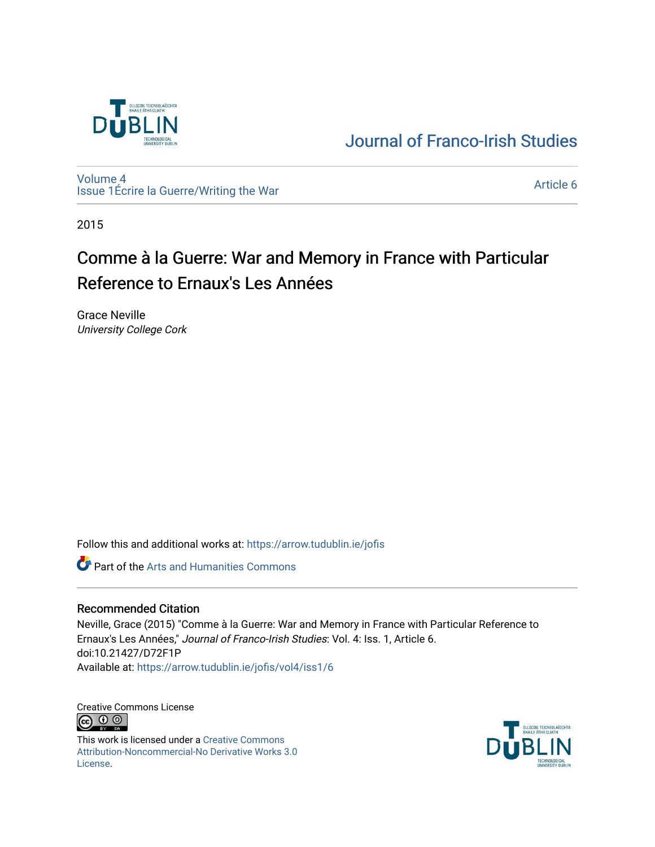

## [Journal of Franco-Irish Studies](https://arrow.tudublin.ie/jofis)

[Volume 4](https://arrow.tudublin.ie/jofis/vol4) [Issue 1](https://arrow.tudublin.ie/jofis/vol4/iss1)Écrire la Guerre/Writing the War Article 6<br>Issue 1Écrire la Guerre/Writing the War

2015

# Comme à la Guerre: War and Memory in France with Particular Reference to Ernaux's Les Années

Grace Neville University College Cork

Follow this and additional works at: [https://arrow.tudublin.ie/jofis](https://arrow.tudublin.ie/jofis?utm_source=arrow.tudublin.ie%2Fjofis%2Fvol4%2Fiss1%2F6&utm_medium=PDF&utm_campaign=PDFCoverPages) 

**Part of the Arts and Humanities Commons** 

#### Recommended Citation

Neville, Grace (2015) "Comme à la Guerre: War and Memory in France with Particular Reference to Ernaux's Les Années," Journal of Franco-Irish Studies: Vol. 4: Iss. 1, Article 6. doi:10.21427/D72F1P Available at: [https://arrow.tudublin.ie/jofis/vol4/iss1/6](https://arrow.tudublin.ie/jofis/vol4/iss1/6?utm_source=arrow.tudublin.ie%2Fjofis%2Fvol4%2Fiss1%2F6&utm_medium=PDF&utm_campaign=PDFCoverPages) 

Creative Commons License <u>ெ ெ</u>

This work is licensed under a [Creative Commons](https://creativecommons.org/licenses/by-nc-nd/3.0/) [Attribution-Noncommercial-No Derivative Works 3.0](https://creativecommons.org/licenses/by-nc-nd/3.0/) [License.](https://creativecommons.org/licenses/by-nc-nd/3.0/)

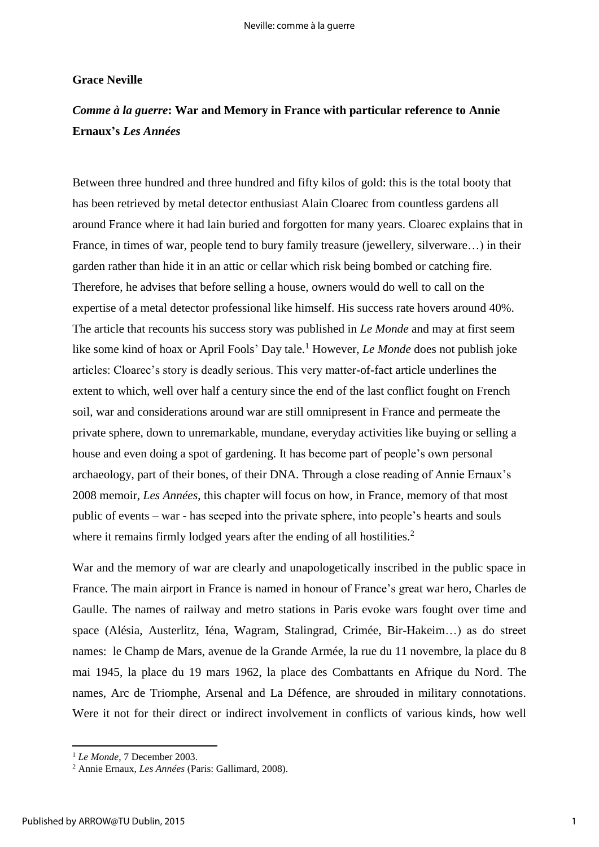#### **Grace Neville**

### *Comme à la guerre***: War and Memory in France with particular reference to Annie Ernaux's** *Les Années*

Between three hundred and three hundred and fifty kilos of gold: this is the total booty that has been retrieved by metal detector enthusiast Alain Cloarec from countless gardens all around France where it had lain buried and forgotten for many years. Cloarec explains that in France, in times of war, people tend to bury family treasure (jewellery, silverware…) in their garden rather than hide it in an attic or cellar which risk being bombed or catching fire. Therefore, he advises that before selling a house, owners would do well to call on the expertise of a metal detector professional like himself. His success rate hovers around 40%. The article that recounts his success story was published in *Le Monde* and may at first seem like some kind of hoax or April Fools' Day tale.<sup>1</sup> However, *Le Monde* does not publish joke articles: Cloarec's story is deadly serious. This very matter-of-fact article underlines the extent to which, well over half a century since the end of the last conflict fought on French soil, war and considerations around war are still omnipresent in France and permeate the private sphere, down to unremarkable, mundane, everyday activities like buying or selling a house and even doing a spot of gardening. It has become part of people's own personal archaeology, part of their bones, of their DNA. Through a close reading of Annie Ernaux's 2008 memoir, *Les Années*, this chapter will focus on how, in France, memory of that most public of events – war - has seeped into the private sphere, into people's hearts and souls where it remains firmly lodged years after the ending of all hostilities.<sup>2</sup>

War and the memory of war are clearly and unapologetically inscribed in the public space in France. The main airport in France is named in honour of France's great war hero, Charles de Gaulle. The names of railway and metro stations in Paris evoke wars fought over time and space (Alésia, Austerlitz, Iéna, Wagram, Stalingrad, Crimée, Bir-Hakeim…) as do street names: le Champ de Mars, avenue de la Grande Armée, la rue du 11 novembre, la place du 8 mai 1945, la place du 19 mars 1962, la place des Combattants en Afrique du Nord. The names, Arc de Triomphe, Arsenal and La Défence, are shrouded in military connotations. Were it not for their direct or indirect involvement in conflicts of various kinds, how well

<sup>1</sup> *Le Monde*, 7 December 2003.

<sup>2</sup> Annie Ernaux, *Les Années* (Paris: Gallimard, 2008).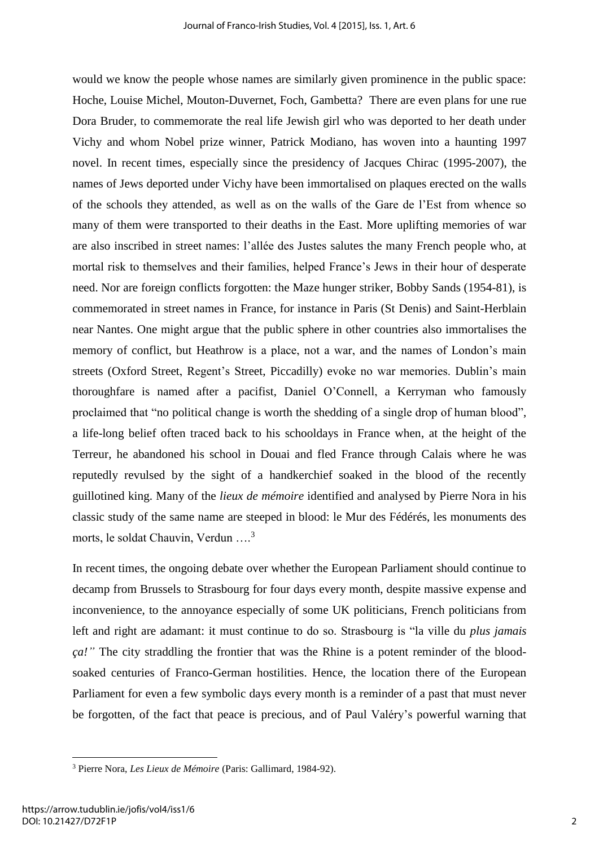would we know the people whose names are similarly given prominence in the public space: Hoche, Louise Michel, Mouton-Duvernet, Foch, Gambetta? There are even plans for une rue Dora Bruder, to commemorate the real life Jewish girl who was deported to her death under Vichy and whom Nobel prize winner, Patrick Modiano, has woven into a haunting 1997 novel. In recent times, especially since the presidency of Jacques Chirac (1995-2007), the names of Jews deported under Vichy have been immortalised on plaques erected on the walls of the schools they attended, as well as on the walls of the Gare de l'Est from whence so many of them were transported to their deaths in the East. More uplifting memories of war are also inscribed in street names: l'allée des Justes salutes the many French people who, at mortal risk to themselves and their families, helped France's Jews in their hour of desperate need. Nor are foreign conflicts forgotten: the Maze hunger striker, Bobby Sands (1954-81), is commemorated in street names in France, for instance in Paris (St Denis) and Saint-Herblain near Nantes. One might argue that the public sphere in other countries also immortalises the memory of conflict, but Heathrow is a place, not a war, and the names of London's main streets (Oxford Street, Regent's Street, Piccadilly) evoke no war memories. Dublin's main thoroughfare is named after a pacifist, Daniel O'Connell, a Kerryman who famously proclaimed that "no political change is worth the shedding of a single drop of human blood", a life-long belief often traced back to his schooldays in France when, at the height of the Terreur, he abandoned his school in Douai and fled France through Calais where he was reputedly revulsed by the sight of a handkerchief soaked in the blood of the recently guillotined king. Many of the *lieux de mémoire* identified and analysed by Pierre Nora in his classic study of the same name are steeped in blood: le Mur des Fédérés, les monuments des morts, le soldat Chauvin, Verdun ....<sup>3</sup>

In recent times, the ongoing debate over whether the European Parliament should continue to decamp from Brussels to Strasbourg for four days every month, despite massive expense and inconvenience, to the annoyance especially of some UK politicians, French politicians from left and right are adamant: it must continue to do so. Strasbourg is "la ville du *plus jamais ça!"* The city straddling the frontier that was the Rhine is a potent reminder of the bloodsoaked centuries of Franco-German hostilities. Hence, the location there of the European Parliament for even a few symbolic days every month is a reminder of a past that must never be forgotten, of the fact that peace is precious, and of Paul Valéry's powerful warning that

<sup>3</sup> Pierre Nora, *Les Lieux de Mémoire* (Paris: Gallimard, 1984-92).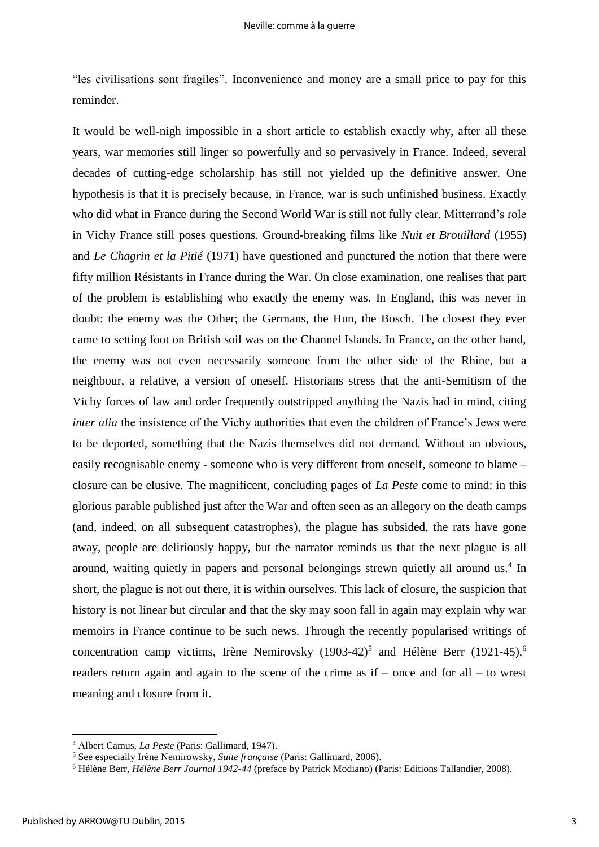"les civilisations sont fragiles". Inconvenience and money are a small price to pay for this reminder.

It would be well-nigh impossible in a short article to establish exactly why, after all these years, war memories still linger so powerfully and so pervasively in France. Indeed, several decades of cutting-edge scholarship has still not yielded up the definitive answer. One hypothesis is that it is precisely because, in France, war is such unfinished business. Exactly who did what in France during the Second World War is still not fully clear. Mitterrand's role in Vichy France still poses questions. Ground-breaking films like *Nuit et Brouillard* (1955) and *Le Chagrin et la Pitié* (1971) have questioned and punctured the notion that there were fifty million Résistants in France during the War. On close examination, one realises that part of the problem is establishing who exactly the enemy was. In England, this was never in doubt: the enemy was the Other; the Germans, the Hun, the Bosch. The closest they ever came to setting foot on British soil was on the Channel Islands. In France, on the other hand, the enemy was not even necessarily someone from the other side of the Rhine, but a neighbour, a relative, a version of oneself. Historians stress that the anti-Semitism of the Vichy forces of law and order frequently outstripped anything the Nazis had in mind, citing *inter alia* the insistence of the Vichy authorities that even the children of France's Jews were to be deported, something that the Nazis themselves did not demand. Without an obvious, easily recognisable enemy - someone who is very different from oneself, someone to blame – closure can be elusive. The magnificent, concluding pages of *La Peste* come to mind: in this glorious parable published just after the War and often seen as an allegory on the death camps (and, indeed, on all subsequent catastrophes), the plague has subsided, the rats have gone away, people are deliriously happy, but the narrator reminds us that the next plague is all around, waiting quietly in papers and personal belongings strewn quietly all around us.<sup>4</sup> In short, the plague is not out there, it is within ourselves. This lack of closure, the suspicion that history is not linear but circular and that the sky may soon fall in again may explain why war memoirs in France continue to be such news. Through the recently popularised writings of concentration camp victims, Irène Nemirovsky  $(1903-42)^5$  and Hélène Berr  $(1921-45)^6$ readers return again and again to the scene of the crime as if – once and for all – to wrest meaning and closure from it.

1

<sup>4</sup> Albert Camus, *La Peste* (Paris: Gallimard, 1947).

<sup>5</sup> See especially Irène Nemirowsky, *Suite française* (Paris: Gallimard, 2006).

<sup>6</sup> Hélène Berr, *Hélène Berr Journal 1942-44* (preface by Patrick Modiano) (Paris: Editions Tallandier, 2008).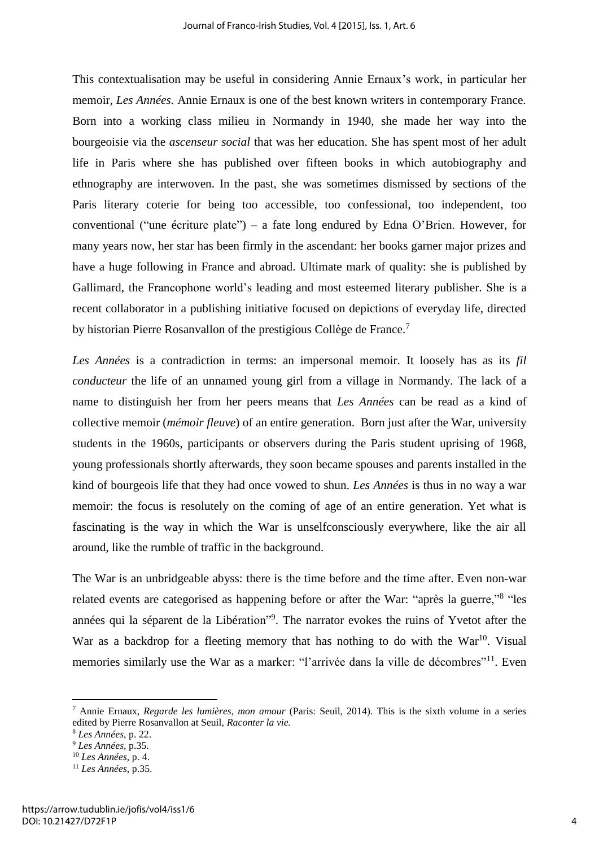This contextualisation may be useful in considering Annie Ernaux's work, in particular her memoir, *Les Années*. Annie Ernaux is one of the best known writers in contemporary France. Born into a working class milieu in Normandy in 1940, she made her way into the bourgeoisie via the *ascenseur social* that was her education. She has spent most of her adult life in Paris where she has published over fifteen books in which autobiography and ethnography are interwoven. In the past, she was sometimes dismissed by sections of the Paris literary coterie for being too accessible, too confessional, too independent, too conventional ("une écriture plate") – a fate long endured by Edna O'Brien. However, for many years now, her star has been firmly in the ascendant: her books garner major prizes and have a huge following in France and abroad. Ultimate mark of quality: she is published by Gallimard, the Francophone world's leading and most esteemed literary publisher. She is a recent collaborator in a publishing initiative focused on depictions of everyday life, directed by historian Pierre Rosanvallon of the prestigious Collège de France.<sup>7</sup>

*Les Années* is a contradiction in terms: an impersonal memoir. It loosely has as its *fil conducteur* the life of an unnamed young girl from a village in Normandy. The lack of a name to distinguish her from her peers means that *Les Années* can be read as a kind of collective memoir (*mémoir fleuve*) of an entire generation. Born just after the War, university students in the 1960s, participants or observers during the Paris student uprising of 1968, young professionals shortly afterwards, they soon became spouses and parents installed in the kind of bourgeois life that they had once vowed to shun. *Les Années* is thus in no way a war memoir: the focus is resolutely on the coming of age of an entire generation. Yet what is fascinating is the way in which the War is unselfconsciously everywhere, like the air all around, like the rumble of traffic in the background.

The War is an unbridgeable abyss: there is the time before and the time after. Even non-war related events are categorised as happening before or after the War: "après la guerre,"<sup>8</sup> "les années qui la séparent de la Libération"<sup>9</sup>. The narrator evokes the ruins of Yvetot after the War as a backdrop for a fleeting memory that has nothing to do with the War<sup>10</sup>. Visual memories similarly use the War as a marker: "l'arrivée dans la ville de décombres"<sup>11</sup>. Even

1

<sup>7</sup> Annie Ernaux, *Regarde les lumières, mon amour* (Paris: Seuil, 2014). This is the sixth volume in a series edited by Pierre Rosanvallon at Seuil, *Raconter la vie.*

<sup>8</sup> *Les Années*, p. 22.

<sup>9</sup> *Les Années,* p.35.

<sup>10</sup> *Les Années,* p. 4.

<sup>11</sup> *Les Années,* p.35.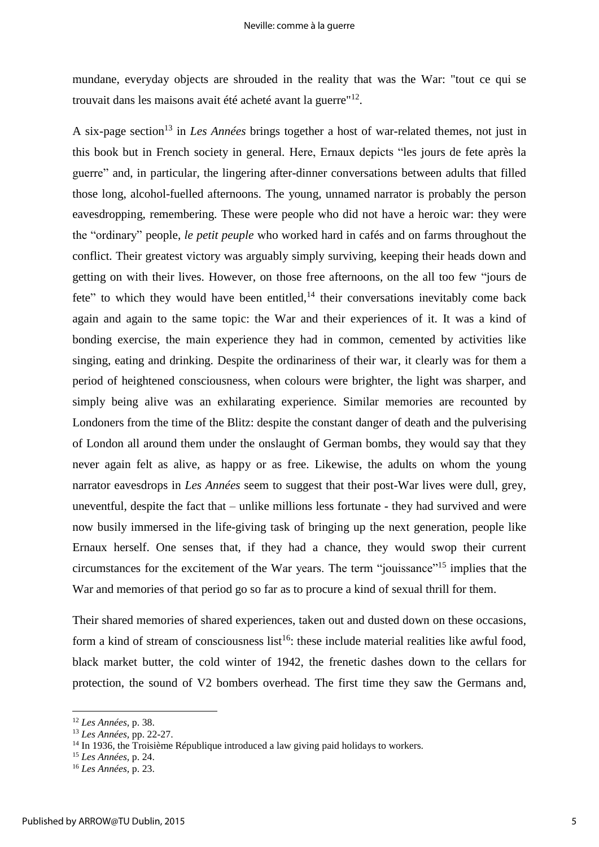mundane, everyday objects are shrouded in the reality that was the War: "tout ce qui se trouvait dans les maisons avait été acheté avant la guerre"<sup>12</sup> .

A six-page section<sup>13</sup> in *Les Années* brings together a host of war-related themes, not just in this book but in French society in general. Here, Ernaux depicts "les jours de fete après la guerre" and, in particular, the lingering after-dinner conversations between adults that filled those long, alcohol-fuelled afternoons. The young, unnamed narrator is probably the person eavesdropping, remembering. These were people who did not have a heroic war: they were the "ordinary" people, *le petit peuple* who worked hard in cafés and on farms throughout the conflict. Their greatest victory was arguably simply surviving, keeping their heads down and getting on with their lives. However, on those free afternoons, on the all too few "jours de fete" to which they would have been entitled, $14$  their conversations inevitably come back again and again to the same topic: the War and their experiences of it. It was a kind of bonding exercise, the main experience they had in common, cemented by activities like singing, eating and drinking. Despite the ordinariness of their war, it clearly was for them a period of heightened consciousness, when colours were brighter, the light was sharper, and simply being alive was an exhilarating experience. Similar memories are recounted by Londoners from the time of the Blitz: despite the constant danger of death and the pulverising of London all around them under the onslaught of German bombs, they would say that they never again felt as alive, as happy or as free. Likewise, the adults on whom the young narrator eavesdrops in *Les Années* seem to suggest that their post-War lives were dull, grey, uneventful, despite the fact that – unlike millions less fortunate - they had survived and were now busily immersed in the life-giving task of bringing up the next generation, people like Ernaux herself. One senses that, if they had a chance, they would swop their current circumstances for the excitement of the War years. The term "jouissance"<sup>15</sup> implies that the War and memories of that period go so far as to procure a kind of sexual thrill for them.

Their shared memories of shared experiences, taken out and dusted down on these occasions, form a kind of stream of consciousness list<sup>16</sup>: these include material realities like awful food, black market butter, the cold winter of 1942, the frenetic dashes down to the cellars for protection, the sound of V2 bombers overhead. The first time they saw the Germans and,

<sup>12</sup> *Les Années,* p. 38.

<sup>13</sup> *Les Années,* pp. 22-27.

<sup>&</sup>lt;sup>14</sup> In 1936, the Troisième République introduced a law giving paid holidays to workers.

<sup>15</sup> *Les Années,* p. 24.

<sup>16</sup> *Les Années,* p. 23.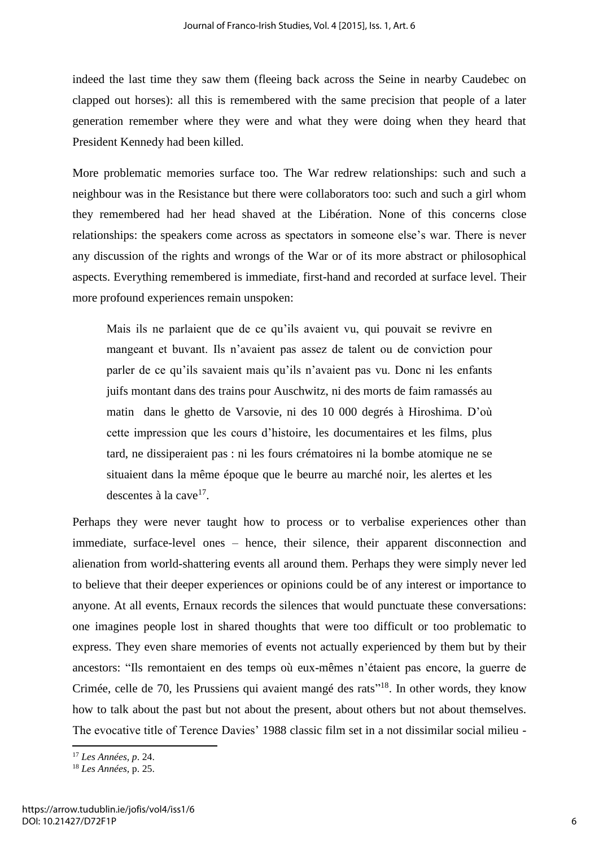indeed the last time they saw them (fleeing back across the Seine in nearby Caudebec on clapped out horses): all this is remembered with the same precision that people of a later generation remember where they were and what they were doing when they heard that President Kennedy had been killed.

More problematic memories surface too. The War redrew relationships: such and such a neighbour was in the Resistance but there were collaborators too: such and such a girl whom they remembered had her head shaved at the Libération. None of this concerns close relationships: the speakers come across as spectators in someone else's war. There is never any discussion of the rights and wrongs of the War or of its more abstract or philosophical aspects. Everything remembered is immediate, first-hand and recorded at surface level. Their more profound experiences remain unspoken:

Mais ils ne parlaient que de ce qu'ils avaient vu, qui pouvait se revivre en mangeant et buvant. Ils n'avaient pas assez de talent ou de conviction pour parler de ce qu'ils savaient mais qu'ils n'avaient pas vu. Donc ni les enfants juifs montant dans des trains pour Auschwitz, ni des morts de faim ramassés au matin dans le ghetto de Varsovie, ni des 10 000 degrés à Hiroshima. D'où cette impression que les cours d'histoire, les documentaires et les films, plus tard, ne dissiperaient pas : ni les fours crématoires ni la bombe atomique ne se situaient dans la même époque que le beurre au marché noir, les alertes et les descentes à la cave<sup>17</sup>.

Perhaps they were never taught how to process or to verbalise experiences other than immediate, surface-level ones – hence, their silence, their apparent disconnection and alienation from world-shattering events all around them. Perhaps they were simply never led to believe that their deeper experiences or opinions could be of any interest or importance to anyone. At all events, Ernaux records the silences that would punctuate these conversations: one imagines people lost in shared thoughts that were too difficult or too problematic to express. They even share memories of events not actually experienced by them but by their ancestors: "Ils remontaient en des temps où eux-mêmes n'étaient pas encore, la guerre de Crimée, celle de 70, les Prussiens qui avaient mangé des rats"<sup>18</sup>. In other words, they know how to talk about the past but not about the present, about others but not about themselves. The evocative title of Terence Davies' 1988 classic film set in a not dissimilar social milieu -

<sup>17</sup> *Les Années, p*. 24.

<sup>18</sup> *Les Années,* p. 25.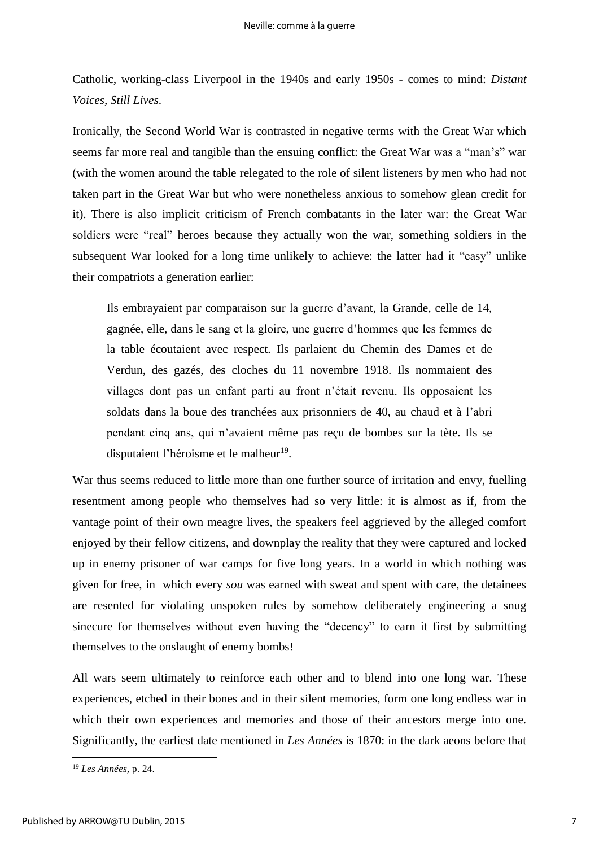Catholic, working-class Liverpool in the 1940s and early 1950s - comes to mind: *Distant Voices, Still Lives*.

Ironically, the Second World War is contrasted in negative terms with the Great War which seems far more real and tangible than the ensuing conflict: the Great War was a "man's" war (with the women around the table relegated to the role of silent listeners by men who had not taken part in the Great War but who were nonetheless anxious to somehow glean credit for it). There is also implicit criticism of French combatants in the later war: the Great War soldiers were "real" heroes because they actually won the war, something soldiers in the subsequent War looked for a long time unlikely to achieve: the latter had it "easy" unlike their compatriots a generation earlier:

Ils embrayaient par comparaison sur la guerre d'avant, la Grande, celle de 14, gagnée, elle, dans le sang et la gloire, une guerre d'hommes que les femmes de la table écoutaient avec respect. Ils parlaient du Chemin des Dames et de Verdun, des gazés, des cloches du 11 novembre 1918. Ils nommaient des villages dont pas un enfant parti au front n'était revenu. Ils opposaient les soldats dans la boue des tranchées aux prisonniers de 40, au chaud et à l'abri pendant cinq ans, qui n'avaient même pas reçu de bombes sur la tète. Ils se disputaient l'héroisme et le malheur<sup>19</sup>.

War thus seems reduced to little more than one further source of irritation and envy, fuelling resentment among people who themselves had so very little: it is almost as if, from the vantage point of their own meagre lives, the speakers feel aggrieved by the alleged comfort enjoyed by their fellow citizens, and downplay the reality that they were captured and locked up in enemy prisoner of war camps for five long years. In a world in which nothing was given for free, in which every *sou* was earned with sweat and spent with care, the detainees are resented for violating unspoken rules by somehow deliberately engineering a snug sinecure for themselves without even having the "decency" to earn it first by submitting themselves to the onslaught of enemy bombs!

All wars seem ultimately to reinforce each other and to blend into one long war. These experiences, etched in their bones and in their silent memories, form one long endless war in which their own experiences and memories and those of their ancestors merge into one. Significantly, the earliest date mentioned in *Les Années* is 1870: in the dark aeons before that

<sup>19</sup> *Les Années,* p. 24.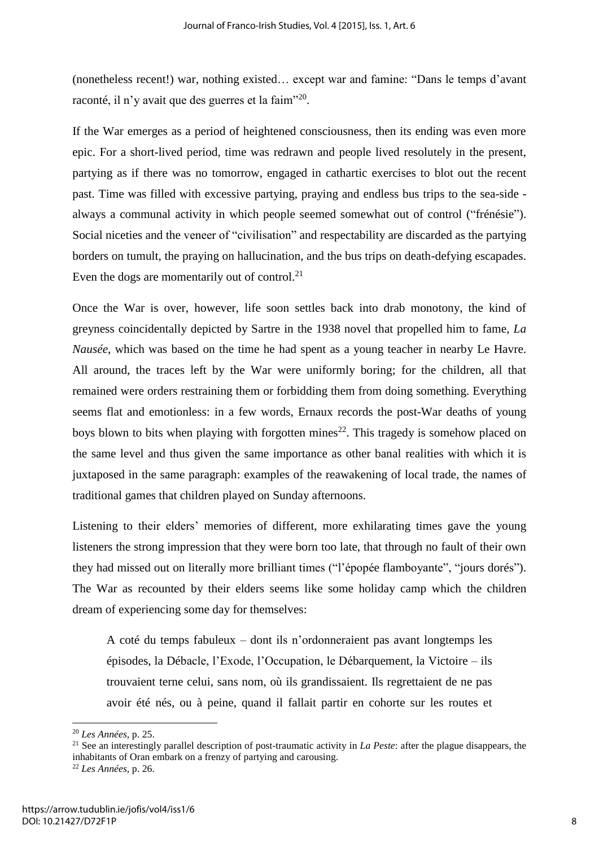(nonetheless recent!) war, nothing existed… except war and famine: "Dans le temps d'avant raconté, il n'y avait que des guerres et la faim"<sup>20</sup>.

If the War emerges as a period of heightened consciousness, then its ending was even more epic. For a short-lived period, time was redrawn and people lived resolutely in the present, partying as if there was no tomorrow, engaged in cathartic exercises to blot out the recent past. Time was filled with excessive partying, praying and endless bus trips to the sea-side always a communal activity in which people seemed somewhat out of control ("frénésie"). Social niceties and the veneer of "civilisation" and respectability are discarded as the partying borders on tumult, the praying on hallucination, and the bus trips on death-defying escapades. Even the dogs are momentarily out of control.<sup>21</sup>

Once the War is over, however, life soon settles back into drab monotony, the kind of greyness coincidentally depicted by Sartre in the 1938 novel that propelled him to fame, *La Nausée*, which was based on the time he had spent as a young teacher in nearby Le Havre. All around, the traces left by the War were uniformly boring; for the children, all that remained were orders restraining them or forbidding them from doing something. Everything seems flat and emotionless: in a few words, Ernaux records the post-War deaths of young boys blown to bits when playing with forgotten mines<sup>22</sup>. This tragedy is somehow placed on the same level and thus given the same importance as other banal realities with which it is juxtaposed in the same paragraph: examples of the reawakening of local trade, the names of traditional games that children played on Sunday afternoons.

Listening to their elders' memories of different, more exhilarating times gave the young listeners the strong impression that they were born too late, that through no fault of their own they had missed out on literally more brilliant times ("l'épopée flamboyante", "jours dorés"). The War as recounted by their elders seems like some holiday camp which the children dream of experiencing some day for themselves:

A coté du temps fabuleux – dont ils n'ordonneraient pas avant longtemps les épisodes, la Débacle, l'Exode, l'Occupation, le Débarquement, la Victoire – ils trouvaient terne celui, sans nom, où ils grandissaient. Ils regrettaient de ne pas avoir été nés, ou à peine, quand il fallait partir en cohorte sur les routes et

<sup>20</sup> *Les Années,* p. 25.

<sup>21</sup> See an interestingly parallel description of post-traumatic activity in *La Peste*: after the plague disappears, the inhabitants of Oran embark on a frenzy of partying and carousing.

<sup>22</sup> *Les Années,* p. 26.